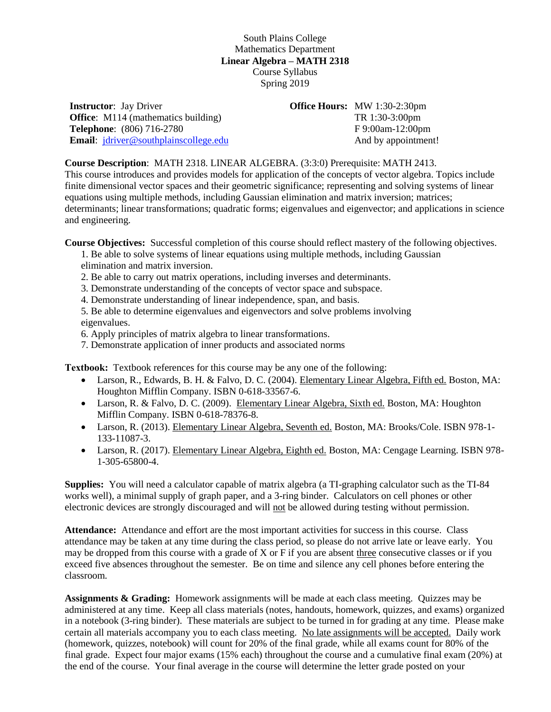## South Plains College Mathematics Department **Linear Algebra – MATH 2318** Course Syllabus Spring 2019

**Instructor**: Jay Driver **Office:** M114 (mathematics building) **Telephone**: (806) 716-2780 **Email**: [jdriver@southplainscollege.edu](mailto:jdriver@southplainscollege.edu) **Office Hours:** MW 1:30-2:30pm TR 1:30-3:00pm F 9:00am-12:00pm And by appointment!

**Course Description**: MATH 2318. LINEAR ALGEBRA. (3:3:0) Prerequisite: MATH 2413.

This course introduces and provides models for application of the concepts of vector algebra. Topics include finite dimensional vector spaces and their geometric significance; representing and solving systems of linear equations using multiple methods, including Gaussian elimination and matrix inversion; matrices; determinants; linear transformations; quadratic forms; eigenvalues and eigenvector; and applications in science and engineering.

**Course Objectives:** Successful completion of this course should reflect mastery of the following objectives.

- 1. Be able to solve systems of linear equations using multiple methods, including Gaussian elimination and matrix inversion.
- 2. Be able to carry out matrix operations, including inverses and determinants.
- 3. Demonstrate understanding of the concepts of vector space and subspace.
- 4. Demonstrate understanding of linear independence, span, and basis.

5. Be able to determine eigenvalues and eigenvectors and solve problems involving eigenvalues.

6. Apply principles of matrix algebra to linear transformations.

7. Demonstrate application of inner products and associated norms

**Textbook:** Textbook references for this course may be any one of the following:

- Larson, R., Edwards, B. H. & Falvo, D. C. (2004). Elementary Linear Algebra, Fifth ed. Boston, MA: Houghton Mifflin Company. ISBN 0-618-33567-6.
- Larson, R. & Falvo, D. C. (2009). Elementary Linear Algebra, Sixth ed. Boston, MA: Houghton Mifflin Company. ISBN 0-618-78376-8.
- Larson, R. (2013). Elementary Linear Algebra, Seventh ed. Boston, MA: Brooks/Cole. ISBN 978-1- 133-11087-3.
- Larson, R. (2017). Elementary Linear Algebra, Eighth ed. Boston, MA: Cengage Learning. ISBN 978- 1-305-65800-4.

**Supplies:** You will need a calculator capable of matrix algebra (a TI-graphing calculator such as the TI-84 works well), a minimal supply of graph paper, and a 3-ring binder. Calculators on cell phones or other electronic devices are strongly discouraged and will not be allowed during testing without permission.

**Attendance:** Attendance and effort are the most important activities for success in this course. Class attendance may be taken at any time during the class period, so please do not arrive late or leave early. You may be dropped from this course with a grade of X or F if you are absent three consecutive classes or if you exceed five absences throughout the semester. Be on time and silence any cell phones before entering the classroom.

**Assignments & Grading:** Homework assignments will be made at each class meeting. Quizzes may be administered at any time. Keep all class materials (notes, handouts, homework, quizzes, and exams) organized in a notebook (3-ring binder). These materials are subject to be turned in for grading at any time. Please make certain all materials accompany you to each class meeting. No late assignments will be accepted. Daily work (homework, quizzes, notebook) will count for 20% of the final grade, while all exams count for 80% of the final grade. Expect four major exams (15% each) throughout the course and a cumulative final exam (20%) at the end of the course. Your final average in the course will determine the letter grade posted on your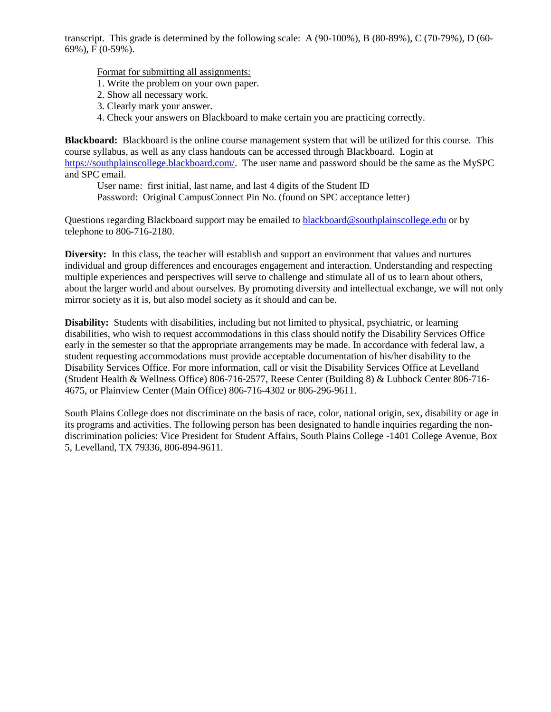transcript. This grade is determined by the following scale: A (90-100%), B (80-89%), C (70-79%), D (60- 69%), F (0-59%).

Format for submitting all assignments:

- 1. Write the problem on your own paper.
- 2. Show all necessary work.
- 3. Clearly mark your answer.
- 4. Check your answers on Blackboard to make certain you are practicing correctly.

**Blackboard:** Blackboard is the online course management system that will be utilized for this course. This course syllabus, as well as any class handouts can be accessed through Blackboard. Login at [https://southplainscollege.blackboard.com/.](https://southplainscollege.blackboard.com/) The user name and password should be the same as the MySPC and SPC email.

User name: first initial, last name, and last 4 digits of the Student ID Password: Original CampusConnect Pin No. (found on SPC acceptance letter)

Questions regarding Blackboard support may be emailed to [blackboard@southplainscollege.edu](mailto:blackboard@southplainscollege.edu) or by telephone to 806-716-2180.

**Diversity:** In this class, the teacher will establish and support an environment that values and nurtures individual and group differences and encourages engagement and interaction. Understanding and respecting multiple experiences and perspectives will serve to challenge and stimulate all of us to learn about others, about the larger world and about ourselves. By promoting diversity and intellectual exchange, we will not only mirror society as it is, but also model society as it should and can be.

**Disability:** Students with disabilities, including but not limited to physical, psychiatric, or learning disabilities, who wish to request accommodations in this class should notify the Disability Services Office early in the semester so that the appropriate arrangements may be made. In accordance with federal law, a student requesting accommodations must provide acceptable documentation of his/her disability to the Disability Services Office. For more information, call or visit the Disability Services Office at Levelland (Student Health & Wellness Office) 806-716-2577, Reese Center (Building 8) & Lubbock Center 806-716- 4675, or Plainview Center (Main Office) 806-716-4302 or 806-296-9611.

South Plains College does not discriminate on the basis of race, color, national origin, sex, disability or age in its programs and activities. The following person has been designated to handle inquiries regarding the nondiscrimination policies: Vice President for Student Affairs, South Plains College -1401 College Avenue, Box 5, Levelland, TX 79336, 806-894-9611.